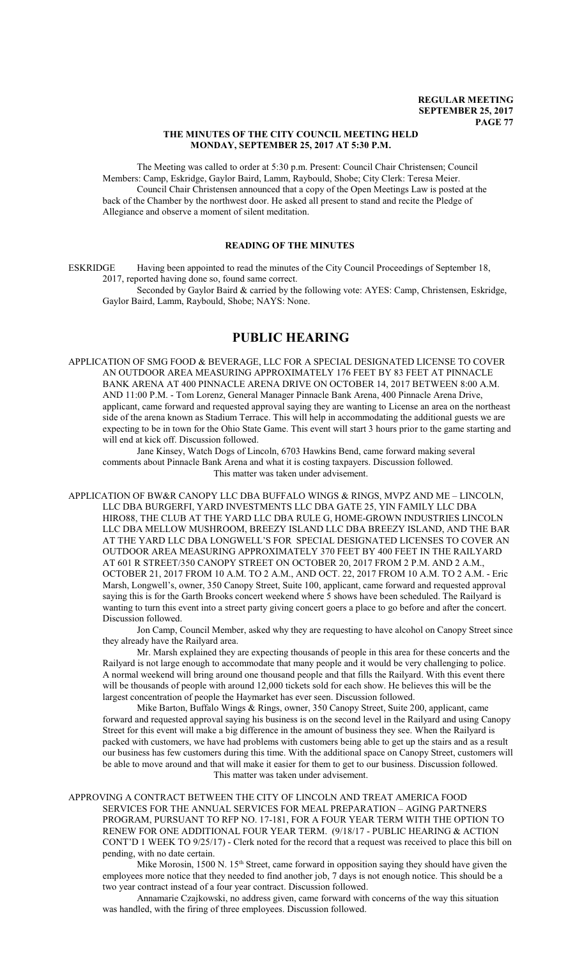#### **THE MINUTES OF THE CITY COUNCIL MEETING HELD MONDAY, SEPTEMBER 25, 2017 AT 5:30 P.M.**

The Meeting was called to order at 5:30 p.m. Present: Council Chair Christensen; Council Members: Camp, Eskridge, Gaylor Baird, Lamm, Raybould, Shobe; City Clerk: Teresa Meier. Council Chair Christensen announced that a copy of the Open Meetings Law is posted at the back of the Chamber by the northwest door. He asked all present to stand and recite the Pledge of Allegiance and observe a moment of silent meditation.

# **READING OF THE MINUTES**

ESKRIDGE Having been appointed to read the minutes of the City Council Proceedings of September 18, 2017, reported having done so, found same correct.

Seconded by Gaylor Baird & carried by the following vote: AYES: Camp, Christensen, Eskridge, Gaylor Baird, Lamm, Raybould, Shobe; NAYS: None.

# **PUBLIC HEARING**

APPLICATION OF SMG FOOD & BEVERAGE, LLC FOR A SPECIAL DESIGNATED LICENSE TO COVER AN OUTDOOR AREA MEASURING APPROXIMATELY 176 FEET BY 83 FEET AT PINNACLE BANK ARENA AT 400 PINNACLE ARENA DRIVE ON OCTOBER 14, 2017 BETWEEN 8:00 A.M. AND 11:00 P.M. - Tom Lorenz, General Manager Pinnacle Bank Arena, 400 Pinnacle Arena Drive, applicant, came forward and requested approval saying they are wanting to License an area on the northeast side of the arena known as Stadium Terrace. This will help in accommodating the additional guests we are expecting to be in town for the Ohio State Game. This event will start 3 hours prior to the game starting and will end at kick off. Discussion followed.

Jane Kinsey, Watch Dogs of Lincoln, 6703 Hawkins Bend, came forward making several comments about Pinnacle Bank Arena and what it is costing taxpayers. Discussion followed. This matter was taken under advisement.

APPLICATION OF BW&R CANOPY LLC DBA BUFFALO WINGS & RINGS, MVPZ AND ME – LINCOLN, LLC DBA BURGERFI, YARD INVESTMENTS LLC DBA GATE 25, YIN FAMILY LLC DBA HIRO88, THE CLUB AT THE YARD LLC DBA RULE G, HOME-GROWN INDUSTRIES LINCOLN LLC DBA MELLOW MUSHROOM, BREEZY ISLAND LLC DBA BREEZY ISLAND, AND THE BAR AT THE YARD LLC DBA LONGWELL'S FOR SPECIAL DESIGNATED LICENSES TO COVER AN OUTDOOR AREA MEASURING APPROXIMATELY 370 FEET BY 400 FEET IN THE RAILYARD AT 601 R STREET/350 CANOPY STREET ON OCTOBER 20, 2017 FROM 2 P.M. AND 2 A.M., OCTOBER 21, 2017 FROM 10 A.M. TO 2 A.M., AND OCT. 22, 2017 FROM 10 A.M. TO 2 A.M. - Eric Marsh, Longwell's, owner, 350 Canopy Street, Suite 100, applicant, came forward and requested approval saying this is for the Garth Brooks concert weekend where 5 shows have been scheduled. The Railyard is wanting to turn this event into a street party giving concert goers a place to go before and after the concert. Discussion followed.

Jon Camp, Council Member, asked why they are requesting to have alcohol on Canopy Street since they already have the Railyard area.

Mr. Marsh explained they are expecting thousands of people in this area for these concerts and the Railyard is not large enough to accommodate that many people and it would be very challenging to police. A normal weekend will bring around one thousand people and that fills the Railyard. With this event there will be thousands of people with around 12,000 tickets sold for each show. He believes this will be the largest concentration of people the Haymarket has ever seen. Discussion followed.

Mike Barton, Buffalo Wings & Rings, owner, 350 Canopy Street, Suite 200, applicant, came forward and requested approval saying his business is on the second level in the Railyard and using Canopy Street for this event will make a big difference in the amount of business they see. When the Railyard is packed with customers, we have had problems with customers being able to get up the stairs and as a result our business has few customers during this time. With the additional space on Canopy Street, customers will be able to move around and that will make it easier for them to get to our business. Discussion followed. This matter was taken under advisement.

APPROVING A CONTRACT BETWEEN THE CITY OF LINCOLN AND TREAT AMERICA FOOD SERVICES FOR THE ANNUAL SERVICES FOR MEAL PREPARATION – AGING PARTNERS PROGRAM, PURSUANT TO RFP NO. 17-181, FOR A FOUR YEAR TERM WITH THE OPTION TO RENEW FOR ONE ADDITIONAL FOUR YEAR TERM. (9/18/17 - PUBLIC HEARING & ACTION CONT'D 1 WEEK TO 9/25/17) - Clerk noted for the record that a request was received to place this bill on pending, with no date certain.

Mike Morosin, 1500 N. 15<sup>th</sup> Street, came forward in opposition saying they should have given the employees more notice that they needed to find another job, 7 days is not enough notice. This should be a two year contract instead of a four year contract. Discussion followed.

Annamarie Czajkowski, no address given, came forward with concerns of the way this situation was handled, with the firing of three employees. Discussion followed.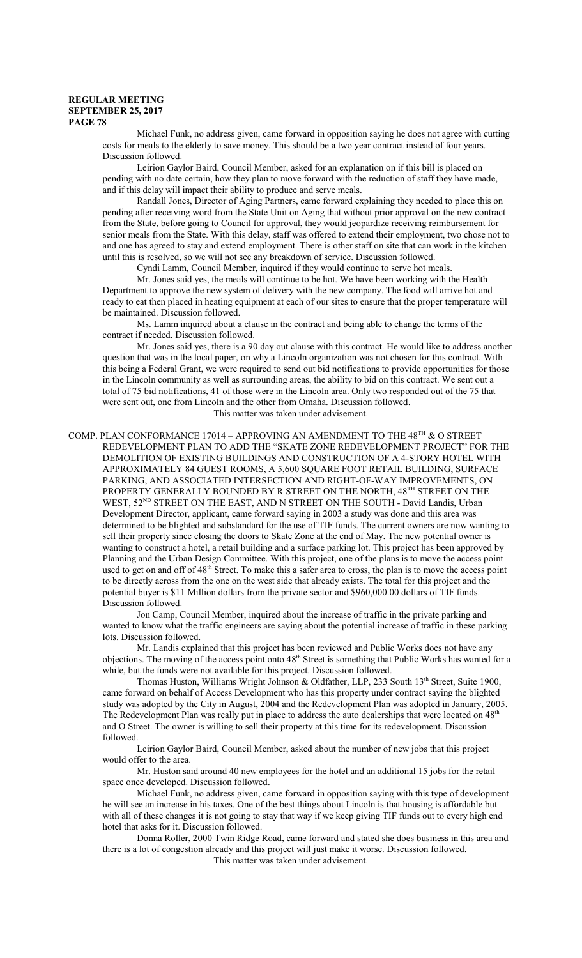Michael Funk, no address given, came forward in opposition saying he does not agree with cutting costs for meals to the elderly to save money. This should be a two year contract instead of four years. Discussion followed.

Leirion Gaylor Baird, Council Member, asked for an explanation on if this bill is placed on pending with no date certain, how they plan to move forward with the reduction of staff they have made, and if this delay will impact their ability to produce and serve meals.

Randall Jones, Director of Aging Partners, came forward explaining they needed to place this on pending after receiving word from the State Unit on Aging that without prior approval on the new contract from the State, before going to Council for approval, they would jeopardize receiving reimbursement for senior meals from the State. With this delay, staff was offered to extend their employment, two chose not to and one has agreed to stay and extend employment. There is other staff on site that can work in the kitchen until this is resolved, so we will not see any breakdown of service. Discussion followed.

Cyndi Lamm, Council Member, inquired if they would continue to serve hot meals.

Mr. Jones said yes, the meals will continue to be hot. We have been working with the Health Department to approve the new system of delivery with the new company. The food will arrive hot and ready to eat then placed in heating equipment at each of our sites to ensure that the proper temperature will be maintained. Discussion followed.

Ms. Lamm inquired about a clause in the contract and being able to change the terms of the contract if needed. Discussion followed.

Mr. Jones said yes, there is a 90 day out clause with this contract. He would like to address another question that was in the local paper, on why a Lincoln organization was not chosen for this contract. With this being a Federal Grant, we were required to send out bid notifications to provide opportunities for those in the Lincoln community as well as surrounding areas, the ability to bid on this contract. We sent out a total of 75 bid notifications, 41 of those were in the Lincoln area. Only two responded out of the 75 that were sent out, one from Lincoln and the other from Omaha. Discussion followed. This matter was taken under advisement.

COMP. PLAN CONFORMANCE 17014 – APPROVING AN AMENDMENT TO THE 48 $^{\text{TH}}$  & O STREET REDEVELOPMENT PLAN TO ADD THE "SKATE ZONE REDEVELOPMENT PROJECT" FOR THE DEMOLITION OF EXISTING BUILDINGS AND CONSTRUCTION OF A 4-STORY HOTEL WITH APPROXIMATELY 84 GUEST ROOMS, A 5,600 SQUARE FOOT RETAIL BUILDING, SURFACE PARKING, AND ASSOCIATED INTERSECTION AND RIGHT-OF-WAY IMPROVEMENTS, ON PROPERTY GENERALLY BOUNDED BY R STREET ON THE NORTH, 48TH STREET ON THE WEST, 52<sup>ND</sup> STREET ON THE EAST, AND N STREET ON THE SOUTH - David Landis, Urban Development Director, applicant, came forward saying in 2003 a study was done and this area was determined to be blighted and substandard for the use of TIF funds. The current owners are now wanting to sell their property since closing the doors to Skate Zone at the end of May. The new potential owner is wanting to construct a hotel, a retail building and a surface parking lot. This project has been approved by Planning and the Urban Design Committee. With this project, one of the plans is to move the access point used to get on and off of 48<sup>th</sup> Street. To make this a safer area to cross, the plan is to move the access point to be directly across from the one on the west side that already exists. The total for this project and the potential buyer is \$11 Million dollars from the private sector and \$960,000.00 dollars of TIF funds. Discussion followed.

Jon Camp, Council Member, inquired about the increase of traffic in the private parking and wanted to know what the traffic engineers are saying about the potential increase of traffic in these parking lots. Discussion followed.

Mr. Landis explained that this project has been reviewed and Public Works does not have any objections. The moving of the access point onto 48<sup>th</sup> Street is something that Public Works has wanted for a while, but the funds were not available for this project. Discussion followed.

Thomas Huston, Williams Wright Johnson & Oldfather, LLP, 233 South 13<sup>th</sup> Street, Suite 1900, came forward on behalf of Access Development who has this property under contract saying the blighted study was adopted by the City in August, 2004 and the Redevelopment Plan was adopted in January, 2005. The Redevelopment Plan was really put in place to address the auto dealerships that were located on 48<sup>th</sup> and O Street. The owner is willing to sell their property at this time for its redevelopment. Discussion followed.

Leirion Gaylor Baird, Council Member, asked about the number of new jobs that this project would offer to the area.

Mr. Huston said around 40 new employees for the hotel and an additional 15 jobs for the retail space once developed. Discussion followed.

Michael Funk, no address given, came forward in opposition saying with this type of development he will see an increase in his taxes. One of the best things about Lincoln is that housing is affordable but with all of these changes it is not going to stay that way if we keep giving TIF funds out to every high end hotel that asks for it. Discussion followed.

Donna Roller, 2000 Twin Ridge Road, came forward and stated she does business in this area and there is a lot of congestion already and this project will just make it worse. Discussion followed.

This matter was taken under advisement.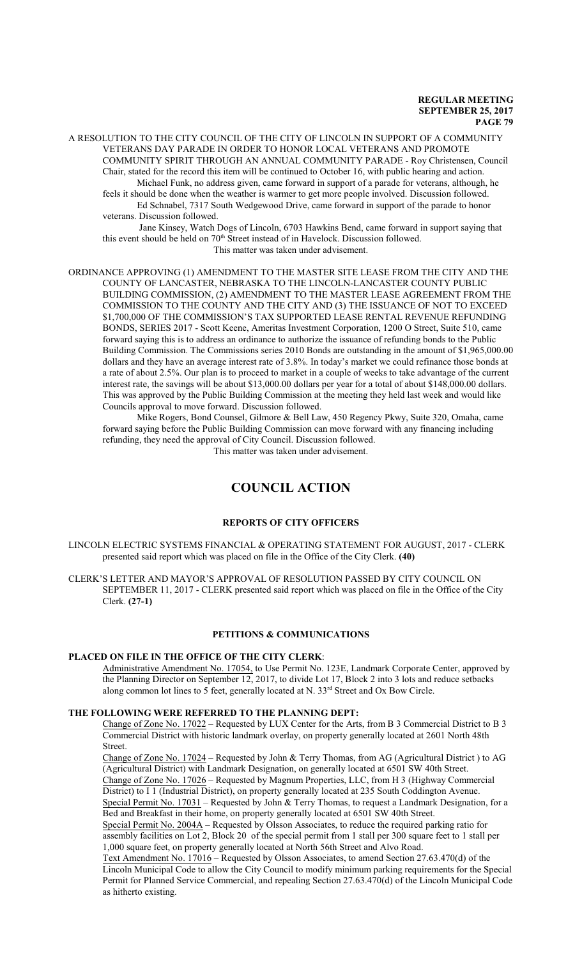A RESOLUTION TO THE CITY COUNCIL OF THE CITY OF LINCOLN IN SUPPORT OF A COMMUNITY VETERANS DAY PARADE IN ORDER TO HONOR LOCAL VETERANS AND PROMOTE COMMUNITY SPIRIT THROUGH AN ANNUAL COMMUNITY PARADE - Roy Christensen, Council Chair, stated for the record this item will be continued to October 16, with public hearing and action. Michael Funk, no address given, came forward in support of a parade for veterans, although, he feels it should be done when the weather is warmer to get more people involved. Discussion followed.

Ed Schnabel, 7317 South Wedgewood Drive, came forward in support of the parade to honor veterans. Discussion followed.

 Jane Kinsey, Watch Dogs of Lincoln, 6703 Hawkins Bend, came forward in support saying that this event should be held on  $70<sup>th</sup>$  Street instead of in Havelock. Discussion followed. This matter was taken under advisement.

ORDINANCE APPROVING (1) AMENDMENT TO THE MASTER SITE LEASE FROM THE CITY AND THE COUNTY OF LANCASTER, NEBRASKA TO THE LINCOLN-LANCASTER COUNTY PUBLIC BUILDING COMMISSION, (2) AMENDMENT TO THE MASTER LEASE AGREEMENT FROM THE COMMISSION TO THE COUNTY AND THE CITY AND (3) THE ISSUANCE OF NOT TO EXCEED \$1,700,000 OF THE COMMISSION'S TAX SUPPORTED LEASE RENTAL REVENUE REFUNDING BONDS, SERIES 2017 - Scott Keene, Ameritas Investment Corporation, 1200 O Street, Suite 510, came forward saying this is to address an ordinance to authorize the issuance of refunding bonds to the Public Building Commission. The Commissions series 2010 Bonds are outstanding in the amount of \$1,965,000.00 dollars and they have an average interest rate of 3.8%. In today's market we could refinance those bonds at a rate of about 2.5%. Our plan is to proceed to market in a couple of weeks to take advantage of the current interest rate, the savings will be about \$13,000.00 dollars per year for a total of about \$148,000.00 dollars. This was approved by the Public Building Commission at the meeting they held last week and would like Councils approval to move forward. Discussion followed.

Mike Rogers, Bond Counsel, Gilmore & Bell Law, 450 Regency Pkwy, Suite 320, Omaha, came forward saying before the Public Building Commission can move forward with any financing including refunding, they need the approval of City Council. Discussion followed. This matter was taken under advisement.

# **COUNCIL ACTION**

# **REPORTS OF CITY OFFICERS**

LINCOLN ELECTRIC SYSTEMS FINANCIAL & OPERATING STATEMENT FOR AUGUST, 2017 - CLERK presented said report which was placed on file in the Office of the City Clerk. **(40)**

CLERK'S LETTER AND MAYOR'S APPROVAL OF RESOLUTION PASSED BY CITY COUNCIL ON SEPTEMBER 11, 2017 - CLERK presented said report which was placed on file in the Office of the City Clerk. **(27-1)**

#### **PETITIONS & COMMUNICATIONS**

# **PLACED ON FILE IN THE OFFICE OF THE CITY CLERK**:

Administrative Amendment No. 17054, to Use Permit No. 123E, Landmark Corporate Center, approved by the Planning Director on September 12, 2017, to divide Lot 17, Block 2 into 3 lots and reduce setbacks along common lot lines to 5 feet, generally located at N. 33<sup>rd</sup> Street and Ox Bow Circle.

### **THE FOLLOWING WERE REFERRED TO THE PLANNING DEPT:**

Change of Zone No. 17022 – Requested by LUX Center for the Arts, from B 3 Commercial District to B 3 Commercial District with historic landmark overlay, on property generally located at 2601 North 48th Street.

Change of Zone No. 17024 – Requested by John & Terry Thomas, from AG (Agricultural District ) to AG (Agricultural District) with Landmark Designation, on generally located at 6501 SW 40th Street.

Change of Zone No. 17026 – Requested by Magnum Properties, LLC, from H 3 (Highway Commercial District) to I 1 (Industrial District), on property generally located at 235 South Coddington Avenue. Special Permit No. 17031 – Requested by John & Terry Thomas, to request a Landmark Designation, for a Bed and Breakfast in their home, on property generally located at 6501 SW 40th Street.

Special Permit No. 2004A – Requested by Olsson Associates, to reduce the required parking ratio for assembly facilities on Lot 2, Block 20 of the special permit from 1 stall per 300 square feet to 1 stall per 1,000 square feet, on property generally located at North 56th Street and Alvo Road.

Text Amendment No. 17016 – Requested by Olsson Associates, to amend Section 27.63.470(d) of the Lincoln Municipal Code to allow the City Council to modify minimum parking requirements for the Special Permit for Planned Service Commercial, and repealing Section 27.63.470(d) of the Lincoln Municipal Code as hitherto existing.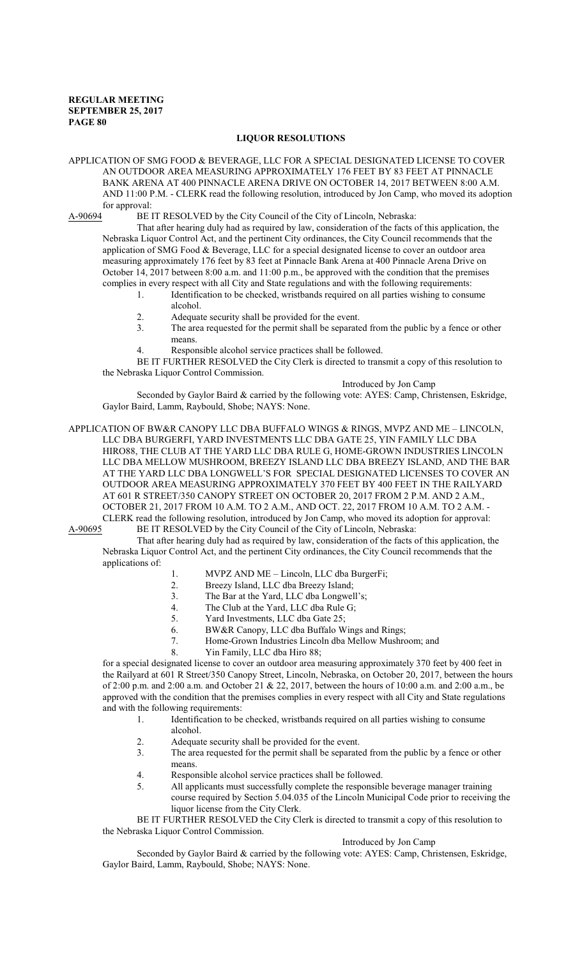#### **LIQUOR RESOLUTIONS**

APPLICATION OF SMG FOOD & BEVERAGE, LLC FOR A SPECIAL DESIGNATED LICENSE TO COVER AN OUTDOOR AREA MEASURING APPROXIMATELY 176 FEET BY 83 FEET AT PINNACLE BANK ARENA AT 400 PINNACLE ARENA DRIVE ON OCTOBER 14, 2017 BETWEEN 8:00 A.M. AND 11:00 P.M. - CLERK read the following resolution, introduced by Jon Camp, who moved its adoption for approval:

A-90694 BE IT RESOLVED by the City Council of the City of Lincoln, Nebraska:

That after hearing duly had as required by law, consideration of the facts of this application, the Nebraska Liquor Control Act, and the pertinent City ordinances, the City Council recommends that the application of SMG Food & Beverage, LLC for a special designated license to cover an outdoor area measuring approximately 176 feet by 83 feet at Pinnacle Bank Arena at 400 Pinnacle Arena Drive on October 14, 2017 between 8:00 a.m. and 11:00 p.m., be approved with the condition that the premises complies in every respect with all City and State regulations and with the following requirements:

- 1. Identification to be checked, wristbands required on all parties wishing to consume alcohol.
- 2. Adequate security shall be provided for the event.
- 3. The area requested for the permit shall be separated from the public by a fence or other means.
- 4. Responsible alcohol service practices shall be followed.

BE IT FURTHER RESOLVED the City Clerk is directed to transmit a copy of this resolution to the Nebraska Liquor Control Commission.

#### Introduced by Jon Camp

Seconded by Gaylor Baird & carried by the following vote: AYES: Camp, Christensen, Eskridge, Gaylor Baird, Lamm, Raybould, Shobe; NAYS: None.

APPLICATION OF BW&R CANOPY LLC DBA BUFFALO WINGS & RINGS, MVPZ AND ME – LINCOLN, LLC DBA BURGERFI, YARD INVESTMENTS LLC DBA GATE 25, YIN FAMILY LLC DBA HIRO88, THE CLUB AT THE YARD LLC DBA RULE G, HOME-GROWN INDUSTRIES LINCOLN LLC DBA MELLOW MUSHROOM, BREEZY ISLAND LLC DBA BREEZY ISLAND, AND THE BAR AT THE YARD LLC DBA LONGWELL'S FOR SPECIAL DESIGNATED LICENSES TO COVER AN OUTDOOR AREA MEASURING APPROXIMATELY 370 FEET BY 400 FEET IN THE RAILYARD AT 601 R STREET/350 CANOPY STREET ON OCTOBER 20, 2017 FROM 2 P.M. AND 2 A.M., OCTOBER 21, 2017 FROM 10 A.M. TO 2 A.M., AND OCT. 22, 2017 FROM 10 A.M. TO 2 A.M. - CLERK read the following resolution, introduced by Jon Camp, who moved its adoption for approval:<br>A-90695 BE IT RESOLVED by the City Council of the City of Lincoln, Nebraska: BE IT RESOLVED by the City Council of the City of Lincoln, Nebraska:

That after hearing duly had as required by law, consideration of the facts of this application, the Nebraska Liquor Control Act, and the pertinent City ordinances, the City Council recommends that the applications of:

- 1. MVPZ AND ME Lincoln, LLC dba BurgerFi;
- 2. Breezy Island, LLC dba Breezy Island;
- 3. The Bar at the Yard, LLC dba Longwell's;<br>4. The Club at the Yard, LLC dba Rule G:
- The Club at the Yard, LLC dba Rule G;
- 
- 5. Yard Investments, LLC dba Gate 25;<br>6. BW&R Canopy, LLC dba Buffalo W 6. BW&R Canopy, LLC dba Buffalo Wings and Rings;
- 7. Home-Grown Industries Lincoln dba Mellow Mushroom; and
- 8. Yin Family, LLC dba Hiro 88;

for a special designated license to cover an outdoor area measuring approximately 370 feet by 400 feet in the Railyard at 601 R Street/350 Canopy Street, Lincoln, Nebraska, on October 20, 2017, between the hours of 2:00 p.m. and 2:00 a.m. and October 21 & 22, 2017, between the hours of 10:00 a.m. and 2:00 a.m., be approved with the condition that the premises complies in every respect with all City and State regulations and with the following requirements:

- 1. Identification to be checked, wristbands required on all parties wishing to consume alcohol.
- 2. Adequate security shall be provided for the event.
- 3. The area requested for the permit shall be separated from the public by a fence or other means.
- 4. Responsible alcohol service practices shall be followed.
- 5. All applicants must successfully complete the responsible beverage manager training course required by Section 5.04.035 of the Lincoln Municipal Code prior to receiving the liquor license from the City Clerk.

BE IT FURTHER RESOLVED the City Clerk is directed to transmit a copy of this resolution to the Nebraska Liquor Control Commission.

### Introduced by Jon Camp

Seconded by Gaylor Baird & carried by the following vote: AYES: Camp, Christensen, Eskridge, Gaylor Baird, Lamm, Raybould, Shobe; NAYS: None.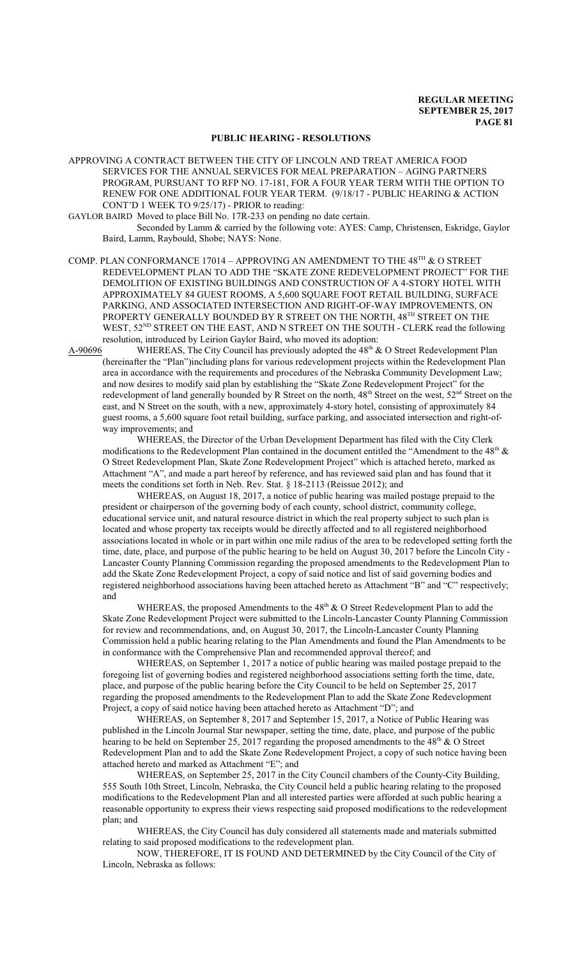# **PUBLIC HEARING - RESOLUTIONS**

APPROVING A CONTRACT BETWEEN THE CITY OF LINCOLN AND TREAT AMERICA FOOD SERVICES FOR THE ANNUAL SERVICES FOR MEAL PREPARATION – AGING PARTNERS PROGRAM, PURSUANT TO RFP NO. 17-181, FOR A FOUR YEAR TERM WITH THE OPTION TO RENEW FOR ONE ADDITIONAL FOUR YEAR TERM. (9/18/17 - PUBLIC HEARING & ACTION CONT'D 1 WEEK TO 9/25/17) - PRIOR to reading:

GAYLOR BAIRD Moved to place Bill No. 17R-233 on pending no date certain.

Seconded by Lamm & carried by the following vote: AYES: Camp, Christensen, Eskridge, Gaylor Baird, Lamm, Raybould, Shobe; NAYS: None.

COMP. PLAN CONFORMANCE 17014 – APPROVING AN AMENDMENT TO THE 48 $^{\text{TH}}$  & O STREET REDEVELOPMENT PLAN TO ADD THE "SKATE ZONE REDEVELOPMENT PROJECT" FOR THE DEMOLITION OF EXISTING BUILDINGS AND CONSTRUCTION OF A 4-STORY HOTEL WITH APPROXIMATELY 84 GUEST ROOMS, A 5,600 SQUARE FOOT RETAIL BUILDING, SURFACE PARKING, AND ASSOCIATED INTERSECTION AND RIGHT-OF-WAY IMPROVEMENTS, ON PROPERTY GENERALLY BOUNDED BY R STREET ON THE NORTH, 48TH STREET ON THE WEST, 52<sup>ND</sup> STREET ON THE EAST, AND N STREET ON THE SOUTH - CLERK read the following resolution, introduced by Leirion Gaylor Baird, who moved its adoption:<br>A-90696 WHEREAS, The City Council has previously adopted the  $48^{\text{th}}$  &

A-90696 WHEREAS, The City Council has previously adopted the 48<sup>th</sup> & O Street Redevelopment Plan (hereinafter the "Plan")including plans for various redevelopment projects within the Redevelopment Plan area in accordance with the requirements and procedures of the Nebraska Community Development Law; and now desires to modify said plan by establishing the "Skate Zone Redevelopment Project" for the redevelopment of land generally bounded by R Street on the north, 48<sup>th</sup> Street on the west, 52<sup>nd</sup> Street on the east, and N Street on the south, with a new, approximately 4-story hotel, consisting of approximately 84 guest rooms, a 5,600 square foot retail building, surface parking, and associated intersection and right-ofway improvements; and

WHEREAS, the Director of the Urban Development Department has filed with the City Clerk modifications to the Redevelopment Plan contained in the document entitled the "Amendment to the  $48^{\text{th}}$  & O Street Redevelopment Plan, Skate Zone Redevelopment Project" which is attached hereto, marked as Attachment "A", and made a part hereof by reference, and has reviewed said plan and has found that it meets the conditions set forth in Neb. Rev. Stat. § 18-2113 (Reissue 2012); and

WHEREAS, on August 18, 2017, a notice of public hearing was mailed postage prepaid to the president or chairperson of the governing body of each county, school district, community college, educational service unit, and natural resource district in which the real property subject to such plan is located and whose property tax receipts would be directly affected and to all registered neighborhood associations located in whole or in part within one mile radius of the area to be redeveloped setting forth the time, date, place, and purpose of the public hearing to be held on August 30, 2017 before the Lincoln City - Lancaster County Planning Commission regarding the proposed amendments to the Redevelopment Plan to add the Skate Zone Redevelopment Project, a copy of said notice and list of said governing bodies and registered neighborhood associations having been attached hereto as Attachment "B" and "C" respectively; and

WHEREAS, the proposed Amendments to the  $48<sup>th</sup>$  & O Street Redevelopment Plan to add the Skate Zone Redevelopment Project were submitted to the Lincoln-Lancaster County Planning Commission for review and recommendations, and, on August 30, 2017, the Lincoln-Lancaster County Planning Commission held a public hearing relating to the Plan Amendments and found the Plan Amendments to be in conformance with the Comprehensive Plan and recommended approval thereof; and

WHEREAS, on September 1, 2017 a notice of public hearing was mailed postage prepaid to the foregoing list of governing bodies and registered neighborhood associations setting forth the time, date, place, and purpose of the public hearing before the City Council to be held on September 25, 2017 regarding the proposed amendments to the Redevelopment Plan to add the Skate Zone Redevelopment Project, a copy of said notice having been attached hereto as Attachment "D"; and

WHEREAS, on September 8, 2017 and September 15, 2017, a Notice of Public Hearing was published in the Lincoln Journal Star newspaper, setting the time, date, place, and purpose of the public hearing to be held on September 25, 2017 regarding the proposed amendments to the 48<sup>th</sup> & O Street Redevelopment Plan and to add the Skate Zone Redevelopment Project, a copy of such notice having been attached hereto and marked as Attachment "E"; and

WHEREAS, on September 25, 2017 in the City Council chambers of the County-City Building, 555 South 10th Street, Lincoln, Nebraska, the City Council held a public hearing relating to the proposed modifications to the Redevelopment Plan and all interested parties were afforded at such public hearing a reasonable opportunity to express their views respecting said proposed modifications to the redevelopment plan; and

WHEREAS, the City Council has duly considered all statements made and materials submitted relating to said proposed modifications to the redevelopment plan.

NOW, THEREFORE, IT IS FOUND AND DETERMINED by the City Council of the City of Lincoln, Nebraska as follows: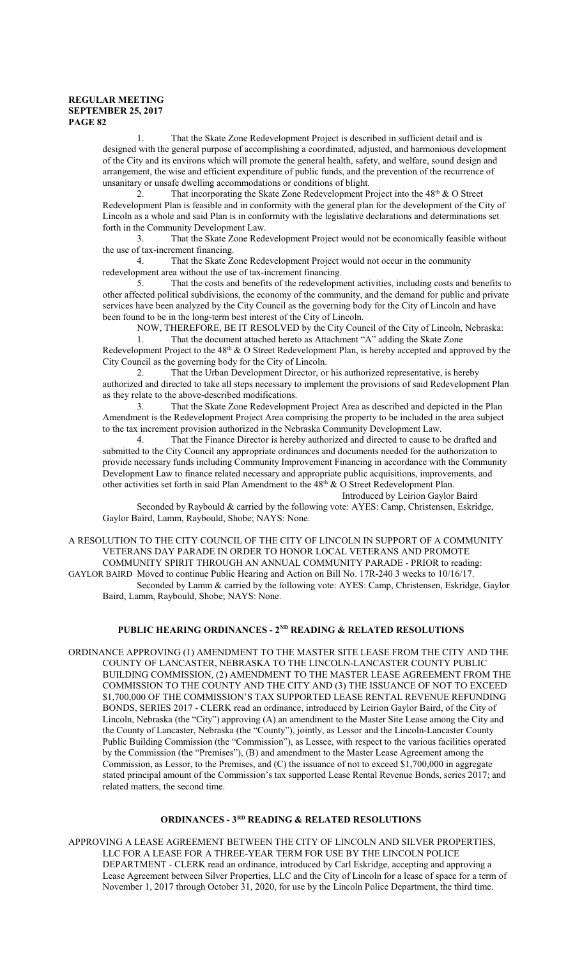1. That the Skate Zone Redevelopment Project is described in sufficient detail and is designed with the general purpose of accomplishing a coordinated, adjusted, and harmonious development of the City and its environs which will promote the general health, safety, and welfare, sound design and arrangement, the wise and efficient expenditure of public funds, and the prevention of the recurrence of unsanitary or unsafe dwelling accommodations or conditions of blight.

2. That incorporating the Skate Zone Redevelopment Project into the  $48<sup>th</sup>$  & O Street Redevelopment Plan is feasible and in conformity with the general plan for the development of the City of Lincoln as a whole and said Plan is in conformity with the legislative declarations and determinations set forth in the Community Development Law.

3. That the Skate Zone Redevelopment Project would not be economically feasible without the use of tax-increment financing.

4. That the Skate Zone Redevelopment Project would not occur in the community redevelopment area without the use of tax-increment financing.

5. That the costs and benefits of the redevelopment activities, including costs and benefits to other affected political subdivisions, the economy of the community, and the demand for public and private services have been analyzed by the City Council as the governing body for the City of Lincoln and have been found to be in the long-term best interest of the City of Lincoln.

NOW, THEREFORE, BE IT RESOLVED by the City Council of the City of Lincoln, Nebraska: 1. That the document attached hereto as Attachment "A" adding the Skate Zone

Redevelopment Project to the  $48<sup>th</sup>$  & O Street Redevelopment Plan, is hereby accepted and approved by the City Council as the governing body for the City of Lincoln.

2. That the Urban Development Director, or his authorized representative, is hereby authorized and directed to take all steps necessary to implement the provisions of said Redevelopment Plan as they relate to the above-described modifications.

3. That the Skate Zone Redevelopment Project Area as described and depicted in the Plan Amendment is the Redevelopment Project Area comprising the property to be included in the area subject to the tax increment provision authorized in the Nebraska Community Development Law.

4. That the Finance Director is hereby authorized and directed to cause to be drafted and submitted to the City Council any appropriate ordinances and documents needed for the authorization to provide necessary funds including Community Improvement Financing in accordance with the Community Development Law to finance related necessary and appropriate public acquisitions, improvements, and other activities set forth in said Plan Amendment to the  $48<sup>th</sup>$  & O Street Redevelopment Plan.

Introduced by Leirion Gaylor Baird Seconded by Raybould & carried by the following vote: AYES: Camp, Christensen, Eskridge,

Gaylor Baird, Lamm, Raybould, Shobe; NAYS: None.

A RESOLUTION TO THE CITY COUNCIL OF THE CITY OF LINCOLN IN SUPPORT OF A COMMUNITY VETERANS DAY PARADE IN ORDER TO HONOR LOCAL VETERANS AND PROMOTE COMMUNITY SPIRIT THROUGH AN ANNUAL COMMUNITY PARADE - PRIOR to reading: GAYLOR BAIRD Moved to continue Public Hearing and Action on Bill No. 17R-240 3 weeks to 10/16/17. Seconded by Lamm & carried by the following vote: AYES: Camp, Christensen, Eskridge, Gaylor Baird, Lamm, Raybould, Shobe; NAYS: None.

# **PUBLIC HEARING ORDINANCES - 2ND READING & RELATED RESOLUTIONS**

ORDINANCE APPROVING (1) AMENDMENT TO THE MASTER SITE LEASE FROM THE CITY AND THE COUNTY OF LANCASTER, NEBRASKA TO THE LINCOLN-LANCASTER COUNTY PUBLIC BUILDING COMMISSION, (2) AMENDMENT TO THE MASTER LEASE AGREEMENT FROM THE COMMISSION TO THE COUNTY AND THE CITY AND (3) THE ISSUANCE OF NOT TO EXCEED \$1,700,000 OF THE COMMISSION'S TAX SUPPORTED LEASE RENTAL REVENUE REFUNDING BONDS, SERIES 2017 - CLERK read an ordinance, introduced by Leirion Gaylor Baird, of the City of Lincoln, Nebraska (the "City") approving (A) an amendment to the Master Site Lease among the City and the County of Lancaster, Nebraska (the "County"), jointly, as Lessor and the Lincoln-Lancaster County Public Building Commission (the "Commission"), as Lessee, with respect to the various facilities operated by the Commission (the "Premises"), (B) and amendment to the Master Lease Agreement among the Commission, as Lessor, to the Premises, and (C) the issuance of not to exceed \$1,700,000 in aggregate stated principal amount of the Commission's tax supported Lease Rental Revenue Bonds, series 2017; and related matters, the second time.

## **ORDINANCES - 3RD READING & RELATED RESOLUTIONS**

APPROVING A LEASE AGREEMENT BETWEEN THE CITY OF LINCOLN AND SILVER PROPERTIES, LLC FOR A LEASE FOR A THREE-YEAR TERM FOR USE BY THE LINCOLN POLICE DEPARTMENT - CLERK read an ordinance, introduced by Carl Eskridge, accepting and approving a Lease Agreement between Silver Properties, LLC and the City of Lincoln for a lease of space for a term of November 1, 2017 through October 31, 2020, for use by the Lincoln Police Department, the third time.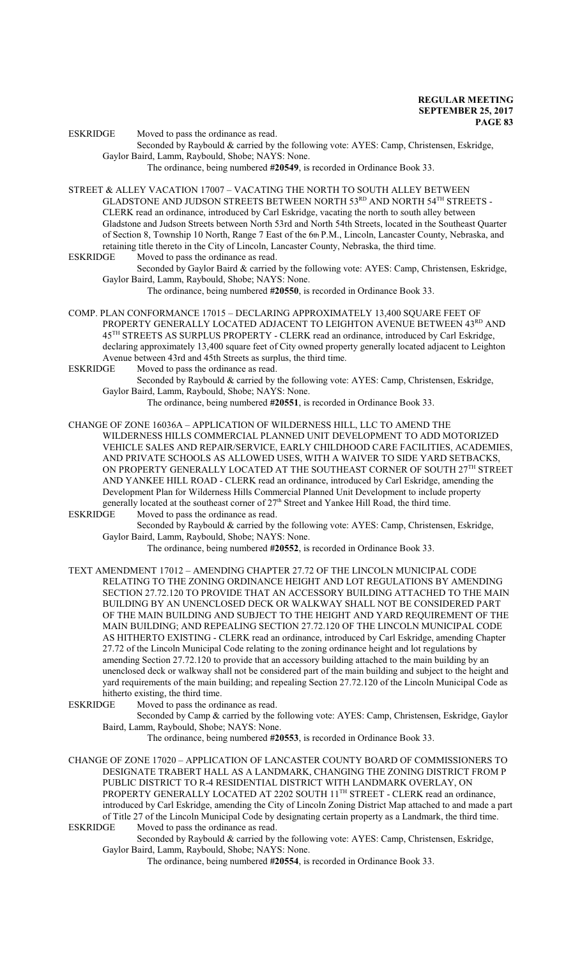ESKRIDGE Moved to pass the ordinance as read.

Seconded by Raybould & carried by the following vote: AYES: Camp, Christensen, Eskridge, Gaylor Baird, Lamm, Raybould, Shobe; NAYS: None.

The ordinance, being numbered **#20549**, is recorded in Ordinance Book 33.

STREET & ALLEY VACATION 17007 – VACATING THE NORTH TO SOUTH ALLEY BETWEEN GLADSTONE AND JUDSON STREETS BETWEEN NORTH 53 $^{\text{RD}}$  AND NORTH 54 $^{\text{TH}}$  STREETS -CLERK read an ordinance, introduced by Carl Eskridge, vacating the north to south alley between Gladstone and Judson Streets between North 53rd and North 54th Streets, located in the Southeast Quarter of Section 8, Township 10 North, Range 7 East of the 6th P.M., Lincoln, Lancaster County, Nebraska, and retaining title thereto in the City of Lincoln, Lancaster County, Nebraska, the third time.<br>ESKRIDGE Moved to pass the ordinance as read.

Moved to pass the ordinance as read.

Seconded by Gaylor Baird & carried by the following vote: AYES: Camp, Christensen, Eskridge, Gaylor Baird, Lamm, Raybould, Shobe; NAYS: None.

The ordinance, being numbered **#20550**, is recorded in Ordinance Book 33.

- COMP. PLAN CONFORMANCE 17015 DECLARING APPROXIMATELY 13,400 SQUARE FEET OF PROPERTY GENERALLY LOCATED ADJACENT TO LEIGHTON AVENUE BETWEEN 43<sup>RD</sup> AND 45 TH STREETS AS SURPLUS PROPERTY - CLERK read an ordinance, introduced by Carl Eskridge, declaring approximately 13,400 square feet of City owned property generally located adjacent to Leighton Avenue between 43rd and 45th Streets as surplus, the third time.
- ESKRIDGE Moved to pass the ordinance as read.

Seconded by Raybould & carried by the following vote: AYES: Camp, Christensen, Eskridge, Gaylor Baird, Lamm, Raybould, Shobe; NAYS: None.

The ordinance, being numbered **#20551**, is recorded in Ordinance Book 33.

CHANGE OF ZONE 16036A – APPLICATION OF WILDERNESS HILL, LLC TO AMEND THE WILDERNESS HILLS COMMERCIAL PLANNED UNIT DEVELOPMENT TO ADD MOTORIZED VEHICLE SALES AND REPAIR/SERVICE, EARLY CHILDHOOD CARE FACILITIES, ACADEMIES, AND PRIVATE SCHOOLS AS ALLOWED USES, WITH A WAIVER TO SIDE YARD SETBACKS, ON PROPERTY GENERALLY LOCATED AT THE SOUTHEAST CORNER OF SOUTH  $27^{\rm TH}$  STREET AND YANKEE HILL ROAD - CLERK read an ordinance, introduced by Carl Eskridge, amending the Development Plan for Wilderness Hills Commercial Planned Unit Development to include property generally located at the southeast corner of 27<sup>th</sup> Street and Yankee Hill Road, the third time.

ESKRIDGE Moved to pass the ordinance as read.

Seconded by Raybould & carried by the following vote: AYES: Camp, Christensen, Eskridge, Gaylor Baird, Lamm, Raybould, Shobe; NAYS: None.

The ordinance, being numbered **#20552**, is recorded in Ordinance Book 33.

- TEXT AMENDMENT 17012 AMENDING CHAPTER 27.72 OF THE LINCOLN MUNICIPAL CODE RELATING TO THE ZONING ORDINANCE HEIGHT AND LOT REGULATIONS BY AMENDING SECTION 27.72.120 TO PROVIDE THAT AN ACCESSORY BUILDING ATTACHED TO THE MAIN BUILDING BY AN UNENCLOSED DECK OR WALKWAY SHALL NOT BE CONSIDERED PART OF THE MAIN BUILDING AND SUBJECT TO THE HEIGHT AND YARD REQUIREMENT OF THE MAIN BUILDING; AND REPEALING SECTION 27.72.120 OF THE LINCOLN MUNICIPAL CODE AS HITHERTO EXISTING - CLERK read an ordinance, introduced by Carl Eskridge, amending Chapter 27.72 of the Lincoln Municipal Code relating to the zoning ordinance height and lot regulations by amending Section 27.72.120 to provide that an accessory building attached to the main building by an unenclosed deck or walkway shall not be considered part of the main building and subject to the height and yard requirements of the main building; and repealing Section 27.72.120 of the Lincoln Municipal Code as hitherto existing, the third time.
- ESKRIDGE Moved to pass the ordinance as read.
	- Seconded by Camp & carried by the following vote: AYES: Camp, Christensen, Eskridge, Gaylor Baird, Lamm, Raybould, Shobe; NAYS: None.

The ordinance, being numbered **#20553**, is recorded in Ordinance Book 33.

CHANGE OF ZONE 17020 – APPLICATION OF LANCASTER COUNTY BOARD OF COMMISSIONERS TO DESIGNATE TRABERT HALL AS A LANDMARK, CHANGING THE ZONING DISTRICT FROM P PUBLIC DISTRICT TO R-4 RESIDENTIAL DISTRICT WITH LANDMARK OVERLAY, ON PROPERTY GENERALLY LOCATED AT 2202 SOUTH 11<sup>TH</sup> STREET - CLERK read an ordinance, introduced by Carl Eskridge, amending the City of Lincoln Zoning District Map attached to and made a part of Title 27 of the Lincoln Municipal Code by designating certain property as a Landmark, the third time. Moved to pass the ordinance as read.

Seconded by Raybould & carried by the following vote: AYES: Camp, Christensen, Eskridge, Gaylor Baird, Lamm, Raybould, Shobe; NAYS: None.

The ordinance, being numbered **#20554**, is recorded in Ordinance Book 33.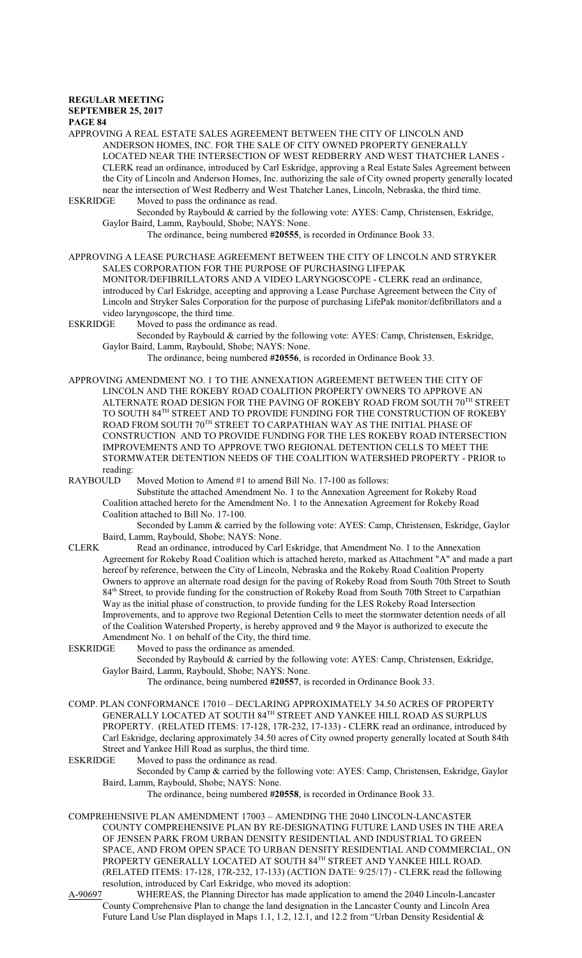APPROVING A REAL ESTATE SALES AGREEMENT BETWEEN THE CITY OF LINCOLN AND ANDERSON HOMES, INC. FOR THE SALE OF CITY OWNED PROPERTY GENERALLY LOCATED NEAR THE INTERSECTION OF WEST REDBERRY AND WEST THATCHER LANES - CLERK read an ordinance, introduced by Carl Eskridge, approving a Real Estate Sales Agreement between the City of Lincoln and Anderson Homes, Inc. authorizing the sale of City owned property generally located near the intersection of West Redberry and West Thatcher Lanes, Lincoln, Nebraska, the third time.<br>ESKRIDGE Moved to pass the ordinance as read.

Moved to pass the ordinance as read. Seconded by Raybould & carried by the following vote: AYES: Camp, Christensen, Eskridge, Gaylor Baird, Lamm, Raybould, Shobe; NAYS: None.

The ordinance, being numbered **#20555**, is recorded in Ordinance Book 33.

APPROVING A LEASE PURCHASE AGREEMENT BETWEEN THE CITY OF LINCOLN AND STRYKER SALES CORPORATION FOR THE PURPOSE OF PURCHASING LIFEPAK

MONITOR/DEFIBRILLATORS AND A VIDEO LARYNGOSCOPE - CLERK read an ordinance, introduced by Carl Eskridge, accepting and approving a Lease Purchase Agreement between the City of Lincoln and Stryker Sales Corporation for the purpose of purchasing LifePak monitor/defibrillators and a video laryngoscope, the third time.

ESKRIDGE Moved to pass the ordinance as read.

Seconded by Raybould & carried by the following vote: AYES: Camp, Christensen, Eskridge, Gaylor Baird, Lamm, Raybould, Shobe; NAYS: None.

The ordinance, being numbered **#20556**, is recorded in Ordinance Book 33.

APPROVING AMENDMENT NO. 1 TO THE ANNEXATION AGREEMENT BETWEEN THE CITY OF LINCOLN AND THE ROKEBY ROAD COALITION PROPERTY OWNERS TO APPROVE AN ALTERNATE ROAD DESIGN FOR THE PAVING OF ROKEBY ROAD FROM SOUTH  $70^{\rm TH}$  STREET TO SOUTH 84 TH STREET AND TO PROVIDE FUNDING FOR THE CONSTRUCTION OF ROKEBY ROAD FROM SOUTH 70<sup>th</sup> STREET TO CARPATHIAN WAY AS THE INITIAL PHASE OF CONSTRUCTION AND TO PROVIDE FUNDING FOR THE LES ROKEBY ROAD INTERSECTION IMPROVEMENTS AND TO APPROVE TWO REGIONAL DETENTION CELLS TO MEET THE STORMWATER DETENTION NEEDS OF THE COALITION WATERSHED PROPERTY - PRIOR to reading:<br>RAYBOULD

Moved Motion to Amend #1 to amend Bill No. 17-100 as follows:

Substitute the attached Amendment No. 1 to the Annexation Agreement for Rokeby Road Coalition attached hereto for the Amendment No. 1 to the Annexation Agreement for Rokeby Road Coalition attached to Bill No. 17-100.

Seconded by Lamm & carried by the following vote: AYES: Camp, Christensen, Eskridge, Gaylor Baird, Lamm, Raybould, Shobe; NAYS: None.

CLERK Read an ordinance, introduced by Carl Eskridge, that Amendment No. 1 to the Annexation Agreement for Rokeby Road Coalition which is attached hereto, marked as Attachment "A" and made a part hereof by reference, between the City of Lincoln, Nebraska and the Rokeby Road Coalition Property Owners to approve an alternate road design for the paving of Rokeby Road from South 70th Street to South 84<sup>th</sup> Street, to provide funding for the construction of Rokeby Road from South 70th Street to Carpathian Way as the initial phase of construction, to provide funding for the LES Rokeby Road Intersection Improvements, and to approve two Regional Detention Cells to meet the stormwater detention needs of all of the Coalition Watershed Property, is hereby approved and 9 the Mayor is authorized to execute the Amendment No. 1 on behalf of the City, the third time.<br>ESKRIDGE Moved to pass the ordinance as amended.

Moved to pass the ordinance as amended.

Seconded by Raybould & carried by the following vote: AYES: Camp, Christensen, Eskridge, Gaylor Baird, Lamm, Raybould, Shobe; NAYS: None.

The ordinance, being numbered **#20557**, is recorded in Ordinance Book 33.

- COMP. PLAN CONFORMANCE 17010 DECLARING APPROXIMATELY 34.50 ACRES OF PROPERTY GENERALLY LOCATED AT SOUTH 84 TH STREET AND YANKEE HILL ROAD AS SURPLUS PROPERTY. (RELATED ITEMS: 17-128, 17R-232, 17-133) - CLERK read an ordinance, introduced by Carl Eskridge, declaring approximately 34.50 acres of City owned property generally located at South 84th Street and Yankee Hill Road as surplus, the third time.
- ESKRIDGE Moved to pass the ordinance as read.

Seconded by Camp & carried by the following vote: AYES: Camp, Christensen, Eskridge, Gaylor Baird, Lamm, Raybould, Shobe; NAYS: None.

The ordinance, being numbered **#20558**, is recorded in Ordinance Book 33.

COMPREHENSIVE PLAN AMENDMENT 17003 – AMENDING THE 2040 LINCOLN-LANCASTER COUNTY COMPREHENSIVE PLAN BY RE-DESIGNATING FUTURE LAND USES IN THE AREA OF JENSEN PARK FROM URBAN DENSITY RESIDENTIAL AND INDUSTRIAL TO GREEN SPACE, AND FROM OPEN SPACE TO URBAN DENSITY RESIDENTIAL AND COMMERCIAL, ON PROPERTY GENERALLY LOCATED AT SOUTH 84TH STREET AND YANKEE HILL ROAD. (RELATED ITEMS: 17-128, 17R-232, 17-133) (ACTION DATE: 9/25/17) - CLERK read the following resolution, introduced by Carl Eskridge, who moved its adoption:

A-90697 WHEREAS, the Planning Director has made application to amend the 2040 Lincoln-Lancaster County Comprehensive Plan to change the land designation in the Lancaster County and Lincoln Area Future Land Use Plan displayed in Maps 1.1, 1.2, 12.1, and 12.2 from "Urban Density Residential &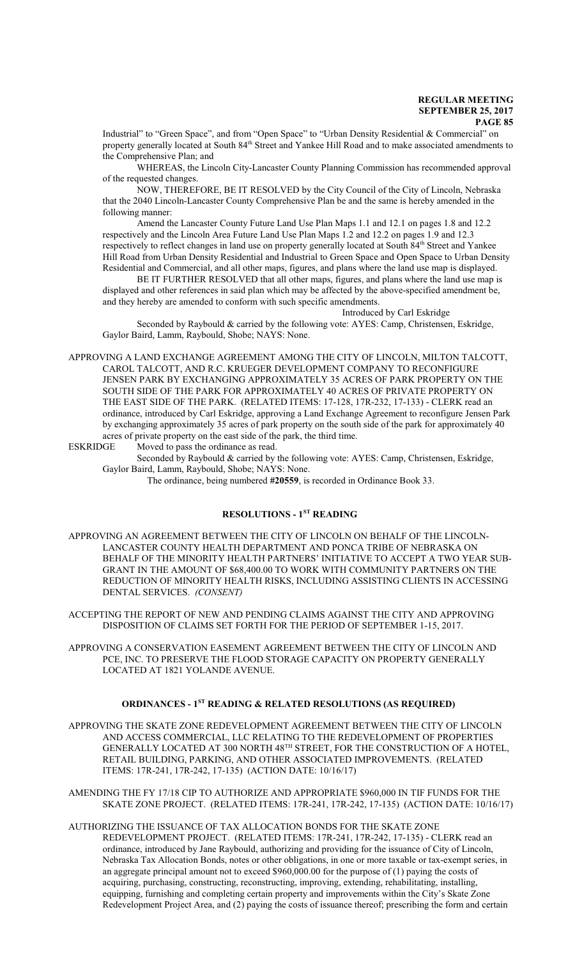Industrial" to "Green Space", and from "Open Space" to "Urban Density Residential & Commercial" on property generally located at South 84<sup>th</sup> Street and Yankee Hill Road and to make associated amendments to the Comprehensive Plan; and

WHEREAS, the Lincoln City-Lancaster County Planning Commission has recommended approval of the requested changes.

NOW, THEREFORE, BE IT RESOLVED by the City Council of the City of Lincoln, Nebraska that the 2040 Lincoln-Lancaster County Comprehensive Plan be and the same is hereby amended in the following manner:

Amend the Lancaster County Future Land Use Plan Maps 1.1 and 12.1 on pages 1.8 and 12.2 respectively and the Lincoln Area Future Land Use Plan Maps 1.2 and 12.2 on pages 1.9 and 12.3 respectively to reflect changes in land use on property generally located at South 84<sup>th</sup> Street and Yankee Hill Road from Urban Density Residential and Industrial to Green Space and Open Space to Urban Density Residential and Commercial, and all other maps, figures, and plans where the land use map is displayed.

BE IT FURTHER RESOLVED that all other maps, figures, and plans where the land use map is displayed and other references in said plan which may be affected by the above-specified amendment be, and they hereby are amended to conform with such specific amendments.

Introduced by Carl Eskridge Seconded by Raybould & carried by the following vote: AYES: Camp, Christensen, Eskridge, Gaylor Baird, Lamm, Raybould, Shobe; NAYS: None.

APPROVING A LAND EXCHANGE AGREEMENT AMONG THE CITY OF LINCOLN, MILTON TALCOTT, CAROL TALCOTT, AND R.C. KRUEGER DEVELOPMENT COMPANY TO RECONFIGURE JENSEN PARK BY EXCHANGING APPROXIMATELY 35 ACRES OF PARK PROPERTY ON THE SOUTH SIDE OF THE PARK FOR APPROXIMATELY 40 ACRES OF PRIVATE PROPERTY ON THE EAST SIDE OF THE PARK. (RELATED ITEMS: 17-128, 17R-232, 17-133) - CLERK read an ordinance, introduced by Carl Eskridge, approving a Land Exchange Agreement to reconfigure Jensen Park by exchanging approximately 35 acres of park property on the south side of the park for approximately 40 acres of private property on the east side of the park, the third time.

ESKRIDGE Moved to pass the ordinance as read.

Seconded by Raybould & carried by the following vote: AYES: Camp, Christensen, Eskridge, Gaylor Baird, Lamm, Raybould, Shobe; NAYS: None.

The ordinance, being numbered **#20559**, is recorded in Ordinance Book 33.

#### **RESOLUTIONS - 1ST READING**

APPROVING AN AGREEMENT BETWEEN THE CITY OF LINCOLN ON BEHALF OF THE LINCOLN-LANCASTER COUNTY HEALTH DEPARTMENT AND PONCA TRIBE OF NEBRASKA ON BEHALF OF THE MINORITY HEALTH PARTNERS' INITIATIVE TO ACCEPT A TWO YEAR SUB-GRANT IN THE AMOUNT OF \$68,400.00 TO WORK WITH COMMUNITY PARTNERS ON THE REDUCTION OF MINORITY HEALTH RISKS, INCLUDING ASSISTING CLIENTS IN ACCESSING DENTAL SERVICES. *(CONSENT)*

ACCEPTING THE REPORT OF NEW AND PENDING CLAIMS AGAINST THE CITY AND APPROVING DISPOSITION OF CLAIMS SET FORTH FOR THE PERIOD OF SEPTEMBER 1-15, 2017.

APPROVING A CONSERVATION EASEMENT AGREEMENT BETWEEN THE CITY OF LINCOLN AND PCE, INC. TO PRESERVE THE FLOOD STORAGE CAPACITY ON PROPERTY GENERALLY LOCATED AT 1821 YOLANDE AVENUE.

#### **ORDINANCES - 1ST READING & RELATED RESOLUTIONS (AS REQUIRED)**

APPROVING THE SKATE ZONE REDEVELOPMENT AGREEMENT BETWEEN THE CITY OF LINCOLN AND ACCESS COMMERCIAL, LLC RELATING TO THE REDEVELOPMENT OF PROPERTIES GENERALLY LOCATED AT 300 NORTH 48 $^{\text{\tiny{\textsf{TH}}}}$  STREET, FOR THE CONSTRUCTION OF A HOTEL, RETAIL BUILDING, PARKING, AND OTHER ASSOCIATED IMPROVEMENTS. (RELATED ITEMS: 17R-241, 17R-242, 17-135) (ACTION DATE: 10/16/17)

AMENDING THE FY 17/18 CIP TO AUTHORIZE AND APPROPRIATE \$960,000 IN TIF FUNDS FOR THE SKATE ZONE PROJECT. (RELATED ITEMS: 17R-241, 17R-242, 17-135) (ACTION DATE: 10/16/17)

AUTHORIZING THE ISSUANCE OF TAX ALLOCATION BONDS FOR THE SKATE ZONE REDEVELOPMENT PROJECT. (RELATED ITEMS: 17R-241, 17R-242, 17-135) - CLERK read an ordinance, introduced by Jane Raybould, authorizing and providing for the issuance of City of Lincoln, Nebraska Tax Allocation Bonds, notes or other obligations, in one or more taxable or tax-exempt series, in an aggregate principal amount not to exceed \$960,000.00 for the purpose of (1) paying the costs of acquiring, purchasing, constructing, reconstructing, improving, extending, rehabilitating, installing, equipping, furnishing and completing certain property and improvements within the City's Skate Zone Redevelopment Project Area, and (2) paying the costs of issuance thereof; prescribing the form and certain